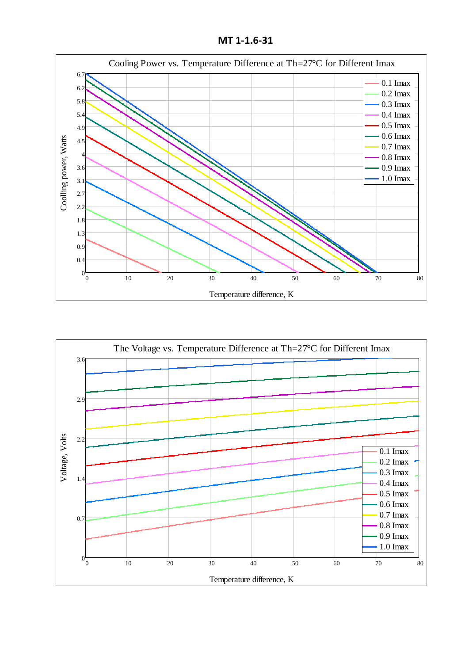**MT 1-1.6-31**